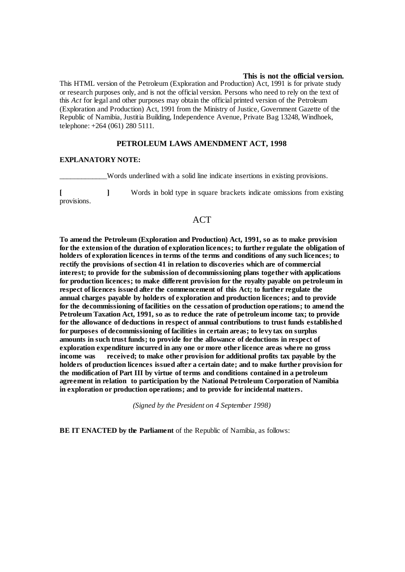#### **This is not the official version.**

This HTML version of the Petroleum (Exploration and Production) Act, 1991 is for private study or research purposes only, and is not the official version. Persons who need to rely on the text of this *Act* for legal and other purposes may obtain the official printed version of the Petroleum (Exploration and Production) Act, 1991 from the Ministry of Justice, Government Gazette of the Republic of Namibia, Justitia Building, Independence Avenue, Private Bag 13248, Windhoek, telephone: +264 (061) 280 5111.

#### **PETROLEUM LAWS AMENDMENT ACT, 1998**

#### **EXPLANATORY NOTE:**

Words underlined with a solid line indicate insertions in existing provisions.

**[ ]** Words in bold type in square brackets indicate omissions from existing provisions.

# **ACT**

**To amend the Petroleum (Exploration and Production) Act, 1991, so as to make provision for the extension of the duration of exploration licences; to further regulate the obligation of holders of exploration licences in terms of the terms and conditions of any such licences; to rectify the provisions of section 41 in relation to discoveries which are of commercial interest; to provide for the submission of decommissioning plans together with applications for production licences; to make different provision for the royalty payable on petroleum in respect of licences issued after the commencement of this Act; to further regulate the annual charges payable by holders of exploration and production licences; and to provide for the decommissioning of facilities on the cessation of production operations; to amend the Petroleum Taxation Act, 1991, so as to reduce the rate of petroleum income tax; to provide for the allowance of deductions in respect of annual contributions to trust funds established for purposes of decommissioning of facilities in certain areas; to levy tax on surplus amounts in such trust funds; to provide for the allowance of deductions in respect of exploration expenditure incurred in any one or more other licence areas where no gross income was received; to make other provision for additional profits tax payable by the holders of production licences issued after a certain date; and to make further provision for the modification of Part III by virtue of terms and conditions contained in a petroleum agreement in relation to participation by the National Petroleum Corporation of Namibia in exploration or production operations; and to provide for incidental matters.**

*(Signed by the President on 4 September 1998)*

**BE IT ENACTED by the Parliament** of the Republic of Namibia, as follows: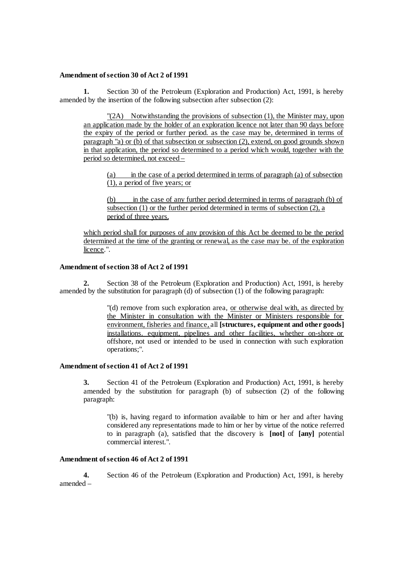### **Amendment of section 30 of Act 2 of 1991**

**1.** Section 30 of the Petroleum (Exploration and Production) Act, 1991, is hereby amended by the insertion of the following subsection after subsection (2):

"(2A) Notwithstanding the provisions of subsection (1), the Minister may, upon an application made by the holder of an exploration licence not later than 90 days before the expiry of the period or further period. as the case may be, determined in terms of paragraph "a) or (b) of that subsection or subsection (2), extend, on good grounds shown in that application, the period so determined to a period which would, together with the period so determined, not exceed –

(a) in the case of a period determined in terms of paragraph (a) of subsection (1), a period of five years; or

(b) in the case of any further period determined in terms of paragraph (b) of subsection  $(1)$  or the further period determined in terms of subsection  $(2)$ , a period of three years,

which period shall for purposes of any provision of this Act be deemed to be the period determined at the time of the granting or renewal, as the case may be. of the exploration licence.".

# **Amendment of section 38 of Act 2 of 1991**

**2.** Section 38 of the Petroleum (Exploration and Production) Act, 1991, is hereby amended by the substitution for paragraph (d) of subsection (1) of the following paragraph:

> "(d) remove from such exploration area, or otherwise deal with, as directed by the Minister in consultation with the Minister or Ministers responsible for environment, fisheries and finance, all **[structures, equipment and other goods]**  installations. equipment, pipelines and other facilities, whether on-shore or offshore, not used or intended to be used in connection with such exploration operations;".

#### **Amendment of section 41 of Act 2 of 1991**

**3.** Section 41 of the Petroleum (Exploration and Production) Act, 1991, is hereby amended by the substitution for paragraph (b) of subsection (2) of the following paragraph:

"(b) is, having regard to information available to him or her and after having considered any representations made to him or her by virtue of the notice referred to in paragraph (a), satisfied that the discovery is **[not]** of **[any]** potential commercial interest.".

### **Amendment of section 46 of Act 2 of 1991**

**4.** Section 46 of the Petroleum (Exploration and Production) Act, 1991, is hereby amended –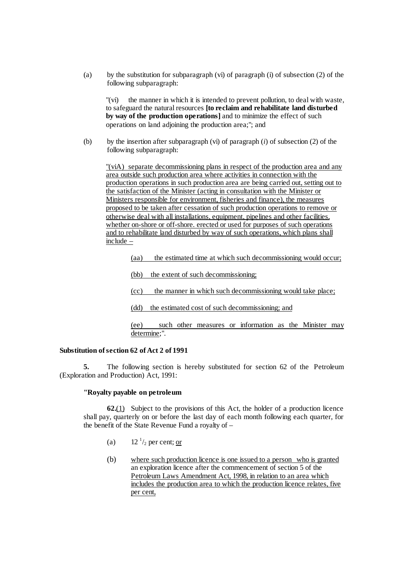(a) by the substitution for subparagraph (vi) of paragraph (i) of subsection (2) of the following subparagraph:

"(vi) the manner in which it is intended to prevent pollution, to deal with waste, to safeguard the natural resources **[to reclaim and rehabilitate land disturbed by way of the production operations]** and to minimize the effect of such operations on land adjoining the production area;"; and

(b) by the insertion after subparagraph (vi) of paragraph (*i*) of subsection (2) of the following subparagraph:

"(viA) separate decommissioning plans in respect of the production area and any area outside such production area where activities in connection with the production operations in such production area are being carried out, setting out to the satisfaction of the Minister (acting in consultation with the Minister or Ministers responsible for environment, fisheries and finance), the measures proposed to be taken after cessation of such production operations to remove or otherwise deal with all installations, equipment, pipelines and other facilities, whether on-shore or off-shore. erected or used for purposes of such operations and to rehabilitate land disturbed by way of such operations, which plans shall include –

(aa) the estimated time at which such decommissioning would occur;

(bb) the extent of such decommissioning;

(cc) the manner in which such decommissioning would take place;

(dd) the estimated cost of such decommissioning; and

(ee) such other measures or information as the Minister may determine;".

#### **Substitution of section 62 of Act 2 of 1991**

**5.** The following section is hereby substituted for section 62 of the Petroleum (Exploration and Production) Act, 1991:

#### **"Royalty payable on petroleum**

**62.**(1) Subject to the provisions of this Act, the holder of a production licence shall pay, quarterly on or before the last day of each month following each quarter, for the benefit of the State Revenue Fund a royalty of –

- (a)  $12^{1/2}$  per cent; or
- (b) where such production licence is one issued to a person who is granted an exploration licence after the commencement of section 5 of the Petroleum Laws Amendment Act, 1998, in relation to an area which includes the production area to which the production licence relates, five per cent,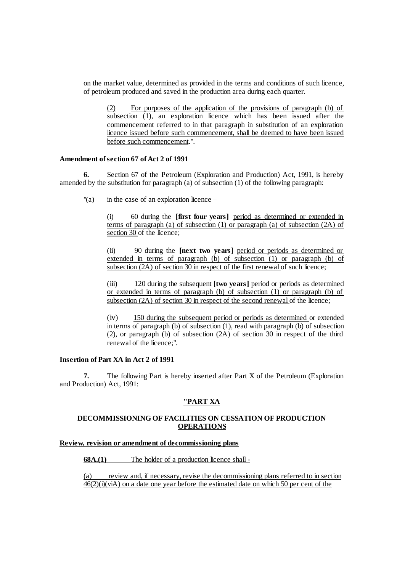on the market value, determined as provided in the terms and conditions of such licence, of petroleum produced and saved in the production area during each quarter.

(2) For purposes of the application of the provisions of paragraph (b) of subsection (1), an exploration licence which has been issued after the commencement referred to in that paragraph in substitution of an exploration licence issued before such commencement, shall be deemed to have been issued before such commencement.".

### **Amendment of section 67 of Act 2 of 1991**

**6.** Section 67 of the Petroleum (Exploration and Production) Act, 1991, is hereby amended by the substitution for paragraph (a) of subsection (1) of the following paragraph:

 $\alpha$  in the case of an exploration licence –

(i) 60 during the **[first four years]** period as determined or extended in terms of paragraph (a) of subsection (1) or paragraph (a) of subsection (2A) of section 30 of the licence;

(ii) 90 during the **[next two years]** period or periods as determined or extended in terms of paragraph (b) of subsection  $(1)$  or paragraph (b) of subsection (2A) of section 30 in respect of the first renewal of such licence;

(iii) 120 during the subsequent **[two years]** period or periods as determined or extended in terms of paragraph (b) of subsection (1) or paragraph (b) of subsection (2A) of section 30 in respect of the second renewal of the licence;

(iv) 150 during the subsequent period or periods as determined or extended in terms of paragraph (b) of subsection (1), read with paragraph (b) of subsection (2), or paragraph (b) of subsection (2A) of section 30 in respect of the third renewal of the licence;".

#### **Insertion of Part XA in Act 2 of 1991**

**7.** The following Part is hereby inserted after Part X of the Petroleum (Exploration and Production) Act, 1991:

# **"PART XA**

# **DECOMMISSIONING OF FACILITIES ON CESSATION OF PRODUCTION OPERATIONS**

# **Review, revision or amendment of decommissioning plans**

**68A.(1)** The holder of a production licence shall -

(a) review and, if necessary, revise the decommissioning plans referred to in section  $\frac{46(2)(i)(i)(\dot{x})}{46(2)(i)(\dot{x})}$  on a date one year before the estimated date on which 50 per cent of the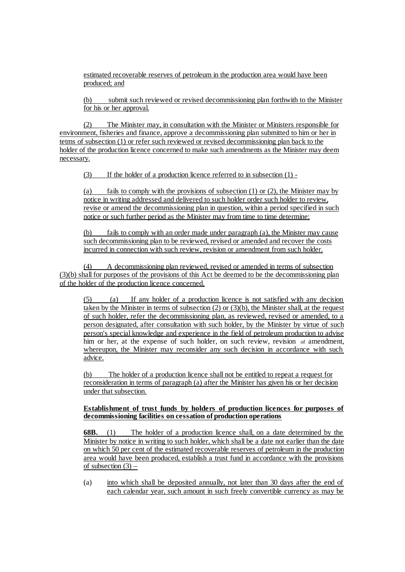estimated recoverable reserves of petroleum in the production area would have been produced; and

(b) submit such reviewed or revised decommissioning plan forthwith to the Minister for his or her approval.

(2) The Minister may, in consultation with the Minister or Ministers responsible for environment, fisheries and finance, approve a decommissioning plan submitted to him or her in tetms of subsection (1) or refer such reviewed or revised decommissioning plan back to the holder of the production licence concerned to make such amendments as the Minister may deem necessary.

(3) If the holder of a production licence referred to in subsection (1) -

(a) fails to comply with the provisions of subsection  $(1)$  or  $(2)$ , the Minister may by notice in writing addressed and delivered to such holder order such holder to review, revise or amend the decommissioning plan in question, within a period specified in such notice or such further period as the Minister may from time to time determine;

(b) fails to comply with an order made under paragraph (a), the Minister may cause such decommissioning plan to be reviewed, revised or amended and recover the costs incurred in connection with such review, revision or amendment from such holder.

(4) A decommissioning plan reviewed, revised or amended in terms of subsection (3)(b) shall for purposes of the provisions of this Act be deemed to be the decommissioning plan of the holder of the production licence concerned.

(5) (a) If any holder of a production licence is not satisfied with any decision taken by the Minister in terms of subsection (2) or (3)(b), the Minister shall, at the request of such holder, refer the decommissioning plan, as reviewed, revised or amended, to a person designated, after consultation with such holder, by the Minister by virtue of such person's special knowledge and experience in the field of petroleum production to advise him or her, at the expense of such holder, on such review, revision of amendment, whereupon, the Minister may reconsider any such decision in accordance with such advice.

(b) The holder of a production licence shall not be entitled to repeat a request for reconsideration in terms of paragraph (a) after the Minister has given his or her decision under that subsection.

#### **Establishment of trust funds by holders of production licences for purposes of decommissioning facilities on cessation of production operations**

**68B.** (1) The holder of a production licence shall, on a date determined by the Minister by notice in writing to such holder, which shall be a date not earlier than the date on which 50 per cent of the estimated recoverable reserves of petroleum in the production area would have been produced, establish a trust fund in accordance with the provisions of subsection  $(3)$  –

(a) into which shall be deposited annually, not later than 30 days after the end of each calendar year, such amount in such freely convertible currency as may be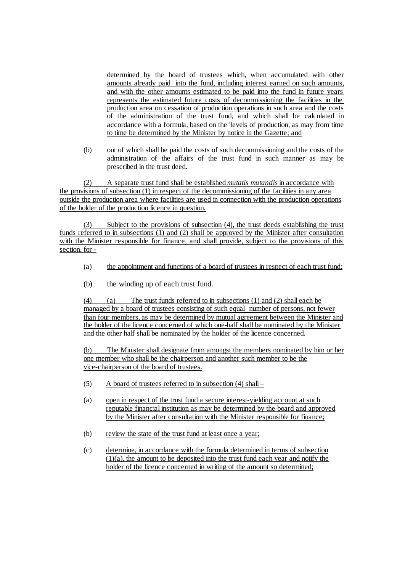determined by the board of trustees which, when accumulated with other amounts already paid into the fund, including interest earned on such amounts, and with the other amounts estimated to be paid into the fund in future years represents the estimated future costs of decommissioning the facilities in the production area on cessation of production operations in such area and the costs of the administration of the trust fund, and which shall be calculated in accordance with a formula, based on the 'levels of production, as may from time to time be determined by the Minister by notice in the Gazette; and

(b) out of which shall be paid the costs of such decommissioning and the costs of the administration of the affairs of the trust fund in such manner as may be prescribed in the trust deed.

(2) A separate trust fund shall be established *mutatis mutandis* in accordance with the provisions of subsection (1) in respect of the decommissioning of the facilities in any area outside the production area where facilities are used in connection with the production operations of the holder of the production licence in question.

Subject to the provisions of subsection  $(4)$ , the trust deeds establishing the trust funds referred to in subsections (1) and (2) shall be approved by the Minister after consultation with the Minister responsible for finance, and shall provide, subject to the provisions of this section, for -

- (a) the appointment and functions of a board of trustees in respect of each trust fund;
- (b) the winding up of each trust fund.

(4) (a) The trust funds referred to in subsections (1) and (2) shall each be managed by a board of trustees consisting of such equal number of persons, not fewer than four members, as may be determined by mutual agreement between the Minister and the holder of the licence concerned of which one-half shall be nominated by the Minister and the other half shall be nominated by the holder of the licence concerned.

(b) The Minister shall designate from amongst the members nominated by him or her one member who shall be the chairperson and another such member to be the vice-chairperson of the board of trustees.

- (5) A board of trustees referred to in subsection (4) shall –
- (a) open in respect of the trust fund a secure interest-yielding account at such reputable financial institution as may be determined by the board and approved by the Minister after consultation with the Minister responsible for finance;
- (b) review the state of the trust fund at least once a year;
- (c) determine, in accordance with the formula determined in terms of subsection  $(1)(a)$ , the amount to be deposited into the trust fund each year and notify the holder of the licence concerned in writing of the amount so determined;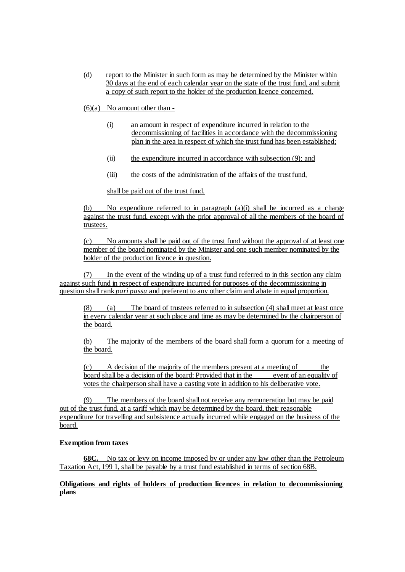(d) report to the Minister in such form as may be determined by the Minister within 30 days at the end of each calendar year on the state of the trust fund, and submit a copy of such report to the holder of the production licence concerned.

 $(6)(a)$  No amount other than -

- (i) an amount in respect of expenditure incurred in relation to the decommissioning of facilities in accordance with the decommissioning plan in the area in respect of which the trust fund has been established;
- (ii) the expenditure incurred in accordance with subsection (9); and
- (iii) the costs of the administration of the affairs of the trust fund,

shall be paid out of the trust fund.

(b) No expenditure referred to in paragraph  $(a)(i)$  shall be incurred as a charge against the trust fund, except with the prior approval of all the members of the board of trustees.

(c) No amounts shall be paid out of the trust fund without the approval of at least one member of the board nominated by the Minister and one such member nominated by the holder of the production licence in question.

(7) In the event of the winding up of a trust fund referred to in this section any claim against such fund in respect of expenditure incurred for purposes of the decommissioning in question shall rank *pari passu* and preferent to any other claim and abate in equal proportion.

(8) (a) The board of trustees referred to in subsection (4) shall meet at least once in every calendar year at such place and time as may be determined by the chairperson of the board.

(b) The majority of the members of the board shall form a quorum for a meeting of the board.

(c) A decision of the majority of the members present at a meeting of the board shall be a decision of the board: Provided that in the event of an equality of votes the chairperson shall have a casting vote in addition to his deliberative vote.

(9) The members of the board shall not receive any remuneration but may be paid out of the trust fund, at a tariff which may be determined by the board, their reasonable expenditure for travelling and subsistence actually incurred while engaged on the business of the board.

# **Exemption from taxes**

**68C.** No tax or levy on income imposed by or under any law other than the Petroleum Taxation Act, 199 1, shall be payable by a trust fund established in terms of section 68B.

# **Obligations and rights of holders of production licences in relation to decommissioning plans**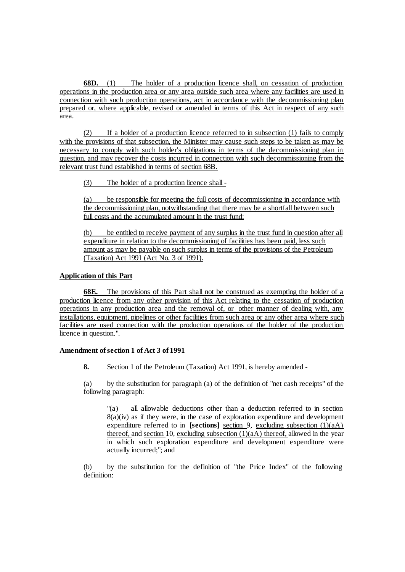**68D.** (1) The holder of a production licence shall, on cessation of production operations in the production area or any area outside such area where any facilities are used in connection with such production operations, act in accordance with the decommissioning plan prepared or, where applicable, revised or amended in terms of this Act in respect of any such area.

(2) If a holder of a production licence referred to in subsection (1) fails to comply with the provisions of that subsection, the Minister may cause such steps to be taken as may be necessary to comply with such holder's obligations in terms of the decommissioning plan in question, and may recover the costs incurred in connection with such decommissioning from the relevant trust fund established in terms of section 68B.

(3) The holder of a production licence shall -

(a) be responsible for meeting the full costs of decommissioning in accordance with the decommissioning plan, notwithstanding that there may be a shortfall between such full costs and the accumulated amount in the trust fund;

(b) be entitled to receive payment of any surplus in the trust fund in question after all expenditure in relation to the decommissioning of facilities has been paid, less such amount as may be payable on such surplus in terms of the provisions of the Petroleum (Taxation) Act 1991 (Act No. 3 of 1991).

# **Application of this Part**

**68E.** The provisions of this Part shall not be construed as exempting the holder of a production licence from any other provision of this Act relating to the cessation of production operations in any production area and the removal of, or other manner of dealing with, any installations, equipment, pipelines or other facilities from such area or any other area where such facilities are used connection with the production operations of the holder of the production licence in question.".

#### **Amendment of section 1 of Act 3 of 1991**

**8.** Section 1 of the Petroleum (Taxation) Act 1991, is hereby amended -

(a) by the substitution for paragraph (a) of the definition of "net cash receipts" of the following paragraph:

"(a) all allowable deductions other than a deduction referred to in section  $8(a)(iv)$  as if they were, in the case of exploration expenditure and development expenditure referred to in **[sections]** section 9, excluding subsection (1)(aA) thereof, and section 10, excluding subsection  $(1)(aA)$  thereof, allowed in the year in which such exploration expenditure and development expenditure were actually incurred;"; and

(b) by the substitution for the definition of "the Price Index" of the following definition: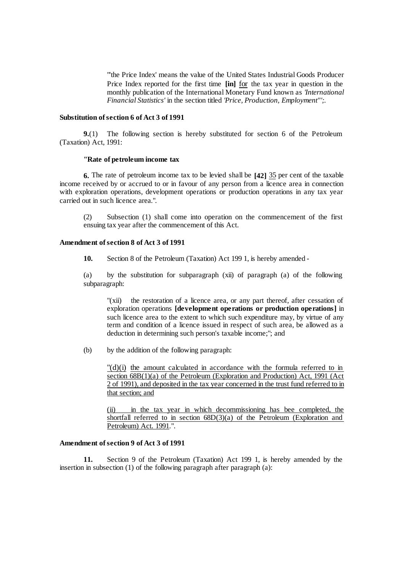"'the Price Index' means the value of the United States Industrial Goods Producer Price Index reported for the first time **[in]** for the tax year in question in the monthly publication of the International Monetary Fund known as *'International Financial Statistics'* in the section titled *'Price, Production, Employment"';.*

#### **Substitution of section 6 of Act 3 of 1991**

**9.**(1) The following section is hereby substituted for section 6 of the Petroleum (Taxation) Act, 1991:

#### **"Rate of petroleum income tax**

**6.** The rate of petroleum income tax to be levied shall be **[42]** 35 per cent of the taxable income received by or accrued to or in favour of any person from a licence area in connection with exploration operations, development operations or production operations in any tax year carried out in such licence area.".

(2) Subsection (1) shall come into operation on the commencement of the first ensuing tax year after the commencement of this Act.

### **Amendment of section 8 of Act 3 of 1991**

**10.** Section 8 of the Petroleum (Taxation) Act 199 1, is hereby amended -

(a) by the substitution for subparagraph (xii) of paragraph (a) of the following subparagraph:

"(xii) the restoration of a licence area, or any part thereof, after cessation of exploration operations **[development operations or production operations]** in such licence area to the extent to which such expenditure may, by virtue of any term and condition of a licence issued in respect of such area, be allowed as a deduction in determining such person's taxable income;"; and

(b) by the addition of the following paragraph:

 $''(d)(i)$  the amount calculated in accordance with the formula referred to in section 68B(1)(a) of the Petroleum (Exploration and Production) Act, 1991 (Act 2 of 1991), and deposited in the tax year concerned in the trust fund referred to in that section; and

in the tax year in which decommissioning has bee completed, the shortfall referred to in section  $68D(3)(a)$  of the Petroleum (Exploration and Petroleum) Act. 1991.".

# **Amendment of section 9 of Act 3 of 1991**

**11.** Section 9 of the Petroleum (Taxation) Act 199 1, is hereby amended by the insertion in subsection (1) of the following paragraph after paragraph (a):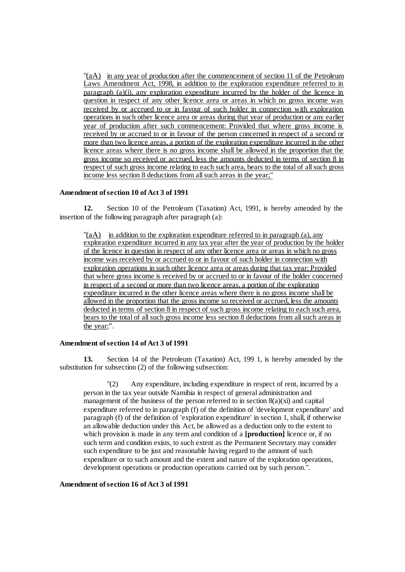"(aA) in any year of production after the commencement of section 11 of the Petroleum Laws Amendment Act, 1998, in addition to the exploration expenditure referred to in paragraph (a)(i), any exploration expenditure incurred by the holder of the licence in question in respect of any other licence area or areas in which no gross income was received by or accrued to or in favour of such holder in connection with exploration operations in such other licence area or areas during that year of production or any earlier year of production after such commencement: Provided that where gross income is received by or accrued to or in favour of the person concerned in respect of a second or more than two licence areas, a portion of the exploration expenditure incurred in the other licence areas where there is no gross income shall be allowed in the proportion that the gross income so received or accrued, less the amounts deducted in terms of section 8 in respect of such gross income relating to each such area, bears to the total of all such gross income less section 8 deductions from all such areas in the year;"

#### **Amendment of section 10 of Act 3 of 1991**

**12.** Section 10 of the Petroleum (Taxation) Act, 1991, is hereby amended by the insertion of the following paragraph after paragraph (a):

 $\mathbb{P}(aA)$  in addition to the exploration expenditure referred to in paragraph (a), any exploration expenditure incurred in any tax year after the year of production by the holder of the licence in question in respect of any other licence area or areas in which no gross income was received by or accrued to or in favour of such holder in connection with exploration operations in such other licence area or areas during that tax year: Provided that where gross income is received by or accrued to or in favour of the holder concerned in respect of a second or more than two licence areas, a portion of the exploration expenditure incurred in the other licence areas where there is no gross income shall be allowed in the proportion that the gross income so received or accrued, less the amounts deducted in terms of section 8 in respect of such gross income relating to each such area, bears to the total of all such gross income less section 8 deductions from all such areas in the year;".

#### **Amendment of section 14 of Act 3 of 1991**

**13.** Section 14 of the Petroleum (Taxation) Act, 199 1, is hereby amended by the substitution for subsection (2) of the following subsection:

"(2) Any expenditure, including expenditure in respect of rent, incurred by a person in the tax year outside Namibia in respect of general administration and management of the business of the person referred to in section  $8(a)(xi)$  and capital expenditure referred to in paragraph (f) of the definition of 'development expenditure' and paragraph (f) of the definition of 'exploration expenditure' in section 1, shall, if otherwise an allowable deduction under this Act, be allowed as a deduction only to the extent to which provision is made in any term and condition of a **[production]** licence or, if no such term and condition exists, to such extent as the Permanent Secretary may consider such expenditure to be just and reasonable having regard to the amount of such expenditure or to such amount and the extent and nature of the exploration operations, development operations or production operations carried out by such person.".

#### **Amendment of section 16 of Act 3 of 1991**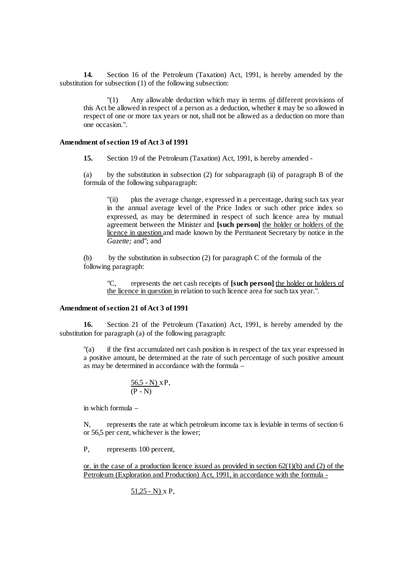**14.** Section 16 of the Petroleum (Taxation) Act, 1991, is hereby amended by the substitution for subsection (1) of the following subsection:

"(1) Any allowable deduction which may in terms of different provisions of this Act be allowed in respect of a person as a deduction, whether it may be so allowed in respect of one or more tax years or not, shall not be allowed as a deduction on more than one occasion.".

### **Amendment of section 19 of Act 3 of 1991**

**15.** Section 19 of the Petroleum (Taxation) Act, 1991, is hereby amended -

(a) by the substitution in subsection (2) for subparagraph (ii) of paragraph B of the formula of the following subparagraph:

"(ii) plus the average change, expressed in a percentage, during such tax year in the annual average level of the Price Index or such other price index so expressed, as may be determined in respect of such licence area by mutual agreement between the Minister and **[such person]** the holder or holders of the licence in question and made known by the Permanent Secretary by notice in the *Gazette;* and"; and

(b) by the substitution in subsection (2) for paragraph C of the formula of the following paragraph:

"C, represents the net cash receipts of **[such person]** the holder or holders of the licence in question in relation to such licence area for such tax year.".

### **Amendment of section 21 of Act 3 of 1991**

**16.** Section 21 of the Petroleum (Taxation) Act, 1991, is hereby amended by the substitution for paragraph (a) of the following paragraph:

"(a) if the first accumulated net cash position is in respect of the tax year expressed in a positive amount, be determined at the rate of such percentage of such positive amount as may be determined in accordance with the formula –

$$
\frac{56,5-N) \times P}{(P-N)}
$$

in which formula –

N, represents the rate at which petroleum income tax is leviable in terms of section 6 or 56,5 per cent, whichever is the lower;

P, represents 100 percent,

or. in the case of a production licence issued as provided in section  $62(1)(b)$  and (2) of the Petroleum (Exploration and Production) Act, 1991, in accordance with the formula -

51,25 - N) x P,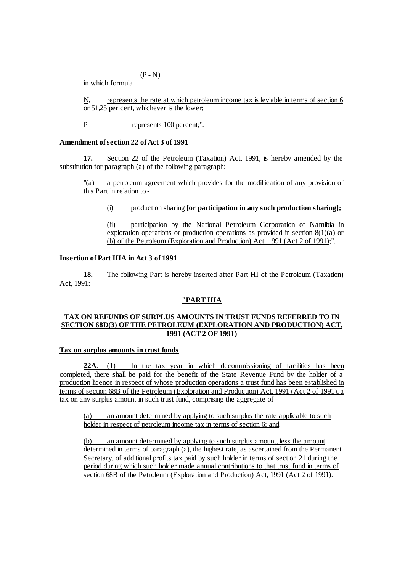$(P - N)$ 

in which formula

N, represents the rate at which petroleum income tax is leviable in terms of section 6 or 51,25 per cent, whichever is the lower;

P represents 100 percent;".

# **Amendment of section 22 of Act 3 of 1991**

**17.** Section 22 of the Petroleum (Taxation) Act, 1991, is hereby amended by the substitution for paragraph (a) of the following paragraph:

"(a) a petroleum agreement which provides for the modification of any provision of this Part in relation to -

(i) production sharing **[or participation in any such production sharing];**

(ii) participation by the National Petroleum Corporation of Namibia in exploration operations or production operations as provided in section 8(1)(a) or (b) of the Petroleum (Exploration and Production) Act. 1991 (Act 2 of 1991);".

# **Insertion of Part IIIA in Act 3 of 1991**

**18.** The following Part is hereby inserted after Part HI of the Petroleum (Taxation) Act, 1991:

# **"PART IIIA**

# **TAX ON REFUNDS OF SURPLUS AMOUNTS IN TRUST FUNDS REFERRED TO IN SECTION 68D(3) OF THE PETROLEUM (EXPLORATION AND PRODUCTION) ACT, 1991 (ACT 2 OF 1991)**

# **Tax on surplus amounts in trust funds**

**22A**. (1) In the tax year in which decommissioning of facilities has been completed, there shall be paid for the benefit of the State Revenue Fund by the holder of a production licence in respect of whose production operations a trust fund has been established in terms of section 68B of the Petroleum (Exploration and Production) Act, 1991 (Act 2 of 1991), a tax on any surplus amount in such trust fund, comprising the aggregate of –

(a) an amount determined by applying to such surplus the rate applicable to such holder in respect of petroleum income tax in terms of section 6; and

(b) an amount determined by applying to such surplus amount, less the amount determined in terms of paragraph (a), the highest rate, as ascertained from the Permanent Secretary, of additional profits tax paid by such holder in terms of section 21 during the period during which such holder made annual contributions to that trust fund in terms of section 68B of the Petroleum (Exploration and Production) Act, 1991 (Act 2 of 1991).